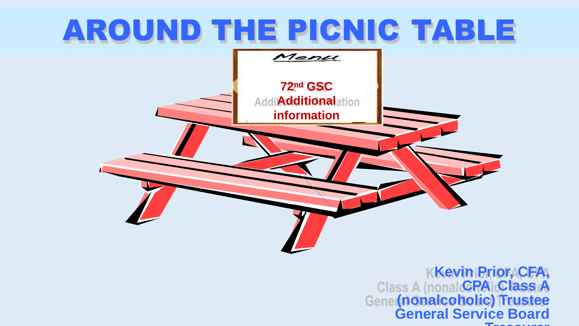

**Kevin Prior, CFA, CPA Class A (nonalcoholic) Trustee General Service Board Treasurer**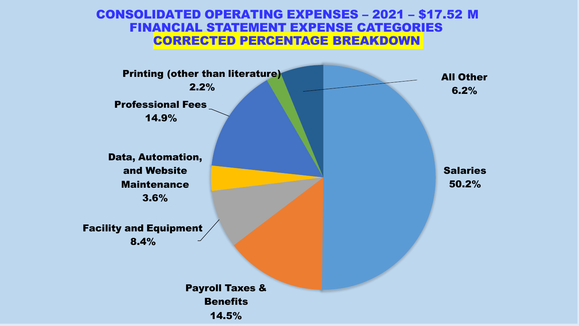### CONSOLIDATED OPERATING EXPENSES – 2021 – \$17.52 M FINANCIAL STATEMENT EXPENSE CATEGORIES CORRECTED PERCENTAGE BREAKDOWN

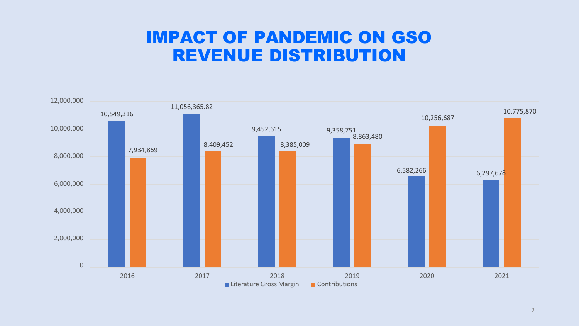### IMPACT OF PANDEMIC ON GSO REVENUE DISTRIBUTION

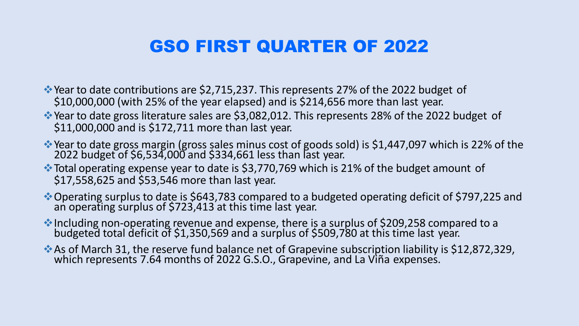## GSO FIRST QUARTER OF 2022

❖Year to date contributions are \$2,715,237. This represents 27% of the 2022 budget of \$10,000,000 (with 25% of the year elapsed) and is \$214,656 more than last year.

- ❖Year to date gross literature sales are \$3,082,012. This represents 28% of the 2022 budget of \$11,000,000 and is \$172,711 more than last year.
- ❖Year to date gross margin (gross sales minus cost of goods sold) is \$1,447,097 which is 22% of the 2022 budget of \$6,534,000 and \$334,661 less than last year.
- ❖Total operating expense year to date is \$3,770,769 which is 21% of the budget amount of \$17,558,625 and \$53,546 more than last year.
- ❖Operating surplus to date is \$643,783 compared to a budgeted operating deficit of \$797,225 and an operating surplus of \$723,413 at this time last year.
- ❖Including non-operating revenue and expense, there is a surplus of \$209,258 compared to a budgeted total deficit of \$1,350,569 and a surplus of \$509,780 at this time last year.
- ❖As of March 31, the reserve fund balance net of Grapevine subscription liability is \$12,872,329, which represents 7.64 months of 2022 G.S.O., Grapevine, and La Viña expenses.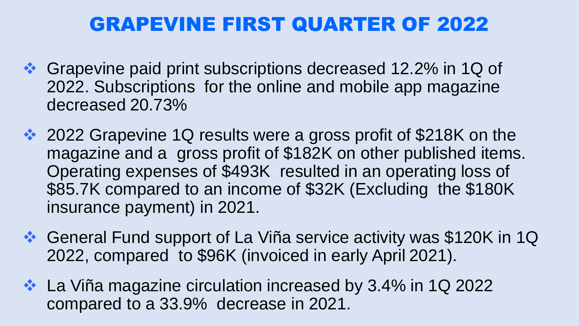# GRAPEVINE FIRST QUARTER OF 2022

- ❖ Grapevine paid print subscriptions decreased 12.2% in 1Q of 2022. Subscriptions for the online and mobile app magazine decreased 20.73%
- ❖ 2022 Grapevine 1Q results were a gross profit of \$218K on the magazine and a gross profit of \$182K on other published items. Operating expenses of \$493K resulted in an operating loss of \$85.7K compared to an income of \$32K (Excluding the \$180K insurance payment) in 2021.
- ❖ General Fund support of La Viña service activity was \$120K in 1Q 2022, compared to \$96K (invoiced in early April 2021).
- ❖ La Viña magazine circulation increased by 3.4% in 1Q 2022 compared to a 33.9% decrease in 2021.